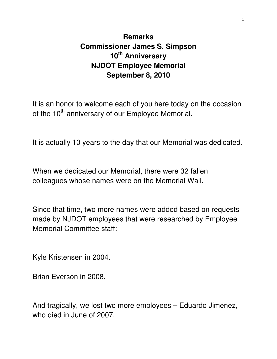## **Remarks Commissioner James S. Simpson 10th Anniversary NJDOT Employee Memorial September 8, 2010**

It is an honor to welcome each of you here today on the occasion of the 10<sup>th</sup> anniversary of our Employee Memorial.

It is actually 10 years to the day that our Memorial was dedicated.

When we dedicated our Memorial, there were 32 fallen colleagues whose names were on the Memorial Wall.

Since that time, two more names were added based on requests made by NJDOT employees that were researched by Employee Memorial Committee staff:

Kyle Kristensen in 2004.

Brian Everson in 2008.

And tragically, we lost two more employees – Eduardo Jimenez, who died in June of 2007.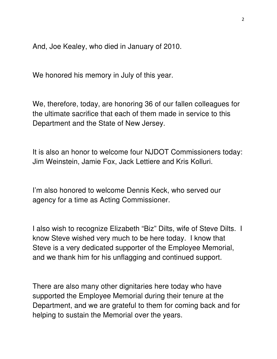And, Joe Kealey, who died in January of 2010.

We honored his memory in July of this year.

We, therefore, today, are honoring 36 of our fallen colleagues for the ultimate sacrifice that each of them made in service to this Department and the State of New Jersey.

It is also an honor to welcome four NJDOT Commissioners today: Jim Weinstein, Jamie Fox, Jack Lettiere and Kris Kolluri.

I'm also honored to welcome Dennis Keck, who served our agency for a time as Acting Commissioner.

I also wish to recognize Elizabeth "Biz" Dilts, wife of Steve Dilts. I know Steve wished very much to be here today. I know that Steve is a very dedicated supporter of the Employee Memorial, and we thank him for his unflagging and continued support.

There are also many other dignitaries here today who have supported the Employee Memorial during their tenure at the Department, and we are grateful to them for coming back and for helping to sustain the Memorial over the years.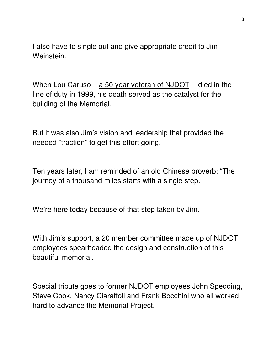I also have to single out and give appropriate credit to Jim Weinstein.

When Lou Caruso – a 50 year veteran of NJDOT -- died in the line of duty in 1999, his death served as the catalyst for the building of the Memorial.

But it was also Jim's vision and leadership that provided the needed "traction" to get this effort going.

Ten years later, I am reminded of an old Chinese proverb: "The journey of a thousand miles starts with a single step."

We're here today because of that step taken by Jim.

With Jim's support, a 20 member committee made up of NJDOT employees spearheaded the design and construction of this beautiful memorial.

Special tribute goes to former NJDOT employees John Spedding, Steve Cook, Nancy Ciaraffoli and Frank Bocchini who all worked hard to advance the Memorial Project.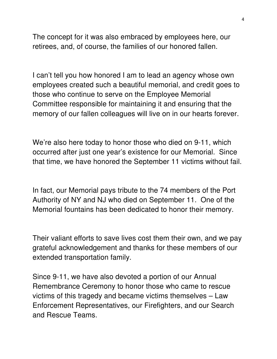The concept for it was also embraced by employees here, our retirees, and, of course, the families of our honored fallen.

I can't tell you how honored I am to lead an agency whose own employees created such a beautiful memorial, and credit goes to those who continue to serve on the Employee Memorial Committee responsible for maintaining it and ensuring that the memory of our fallen colleagues will live on in our hearts forever.

We're also here today to honor those who died on 9-11, which occurred after just one year's existence for our Memorial. Since that time, we have honored the September 11 victims without fail.

In fact, our Memorial pays tribute to the 74 members of the Port Authority of NY and NJ who died on September 11. One of the Memorial fountains has been dedicated to honor their memory.

Their valiant efforts to save lives cost them their own, and we pay grateful acknowledgement and thanks for these members of our extended transportation family.

Since 9-11, we have also devoted a portion of our Annual Remembrance Ceremony to honor those who came to rescue victims of this tragedy and became victims themselves – Law Enforcement Representatives, our Firefighters, and our Search and Rescue Teams.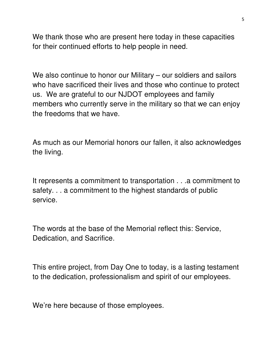We thank those who are present here today in these capacities for their continued efforts to help people in need.

We also continue to honor our Military – our soldiers and sailors who have sacrificed their lives and those who continue to protect us. We are grateful to our NJDOT employees and family members who currently serve in the military so that we can enjoy the freedoms that we have.

As much as our Memorial honors our fallen, it also acknowledges the living.

It represents a commitment to transportation . . .a commitment to safety. . . a commitment to the highest standards of public service.

The words at the base of the Memorial reflect this: Service, Dedication, and Sacrifice.

This entire project, from Day One to today, is a lasting testament to the dedication, professionalism and spirit of our employees.

We're here because of those employees.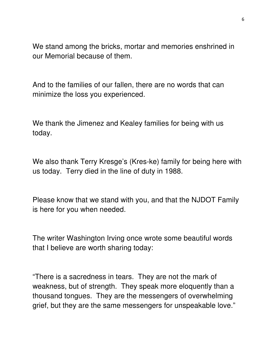We stand among the bricks, mortar and memories enshrined in our Memorial because of them.

And to the families of our fallen, there are no words that can minimize the loss you experienced.

We thank the Jimenez and Kealey families for being with us today.

We also thank Terry Kresge's (Kres-ke) family for being here with us today. Terry died in the line of duty in 1988.

Please know that we stand with you, and that the NJDOT Family is here for you when needed.

The writer Washington Irving once wrote some beautiful words that I believe are worth sharing today:

"There is a sacredness in tears. They are not the mark of weakness, but of strength. They speak more eloquently than a thousand tongues. They are the messengers of overwhelming grief, but they are the same messengers for unspeakable love."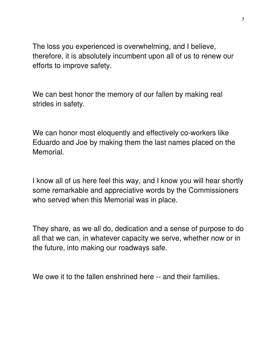The loss you experienced is overwhelming, and I believe, therefore, it is absolutely incumbent upon all of us to renew our efforts to improve safety.

We can best honor the memory of our fallen by making real strides in safety.

We can honor most eloquently and effectively co-workers like Eduardo and Joe by making them the last names placed on the Memorial.

I know all of us here feel this way, and I know you will hear shortly some remarkable and appreciative words by the Commissioners who served when this Memorial was in place.

They share, as we all do, dedication and a sense of purpose to do all that we can, in whatever capacity we serve, whether now or in the future, into making our roadways safe.

We owe it to the fallen enshrined here -- and their families.